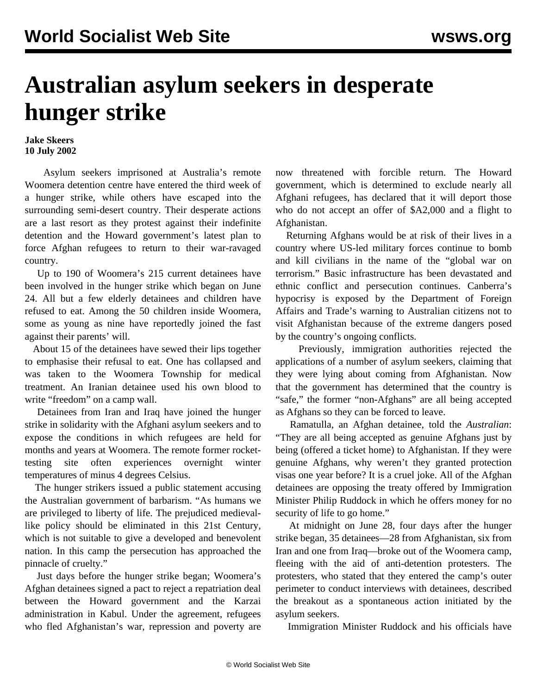## **Australian asylum seekers in desperate hunger strike**

## **Jake Skeers 10 July 2002**

 Asylum seekers imprisoned at Australia's remote Woomera detention centre have entered the third week of a hunger strike, while others have escaped into the surrounding semi-desert country. Their desperate actions are a last resort as they protest against their indefinite detention and the Howard government's latest plan to force Afghan refugees to return to their war-ravaged country.

 Up to 190 of Woomera's 215 current detainees have been involved in the hunger strike which began on June 24. All but a few elderly detainees and children have refused to eat. Among the 50 children inside Woomera, some as young as nine have reportedly joined the fast against their parents' will.

 About 15 of the detainees have sewed their lips together to emphasise their refusal to eat. One has collapsed and was taken to the Woomera Township for medical treatment. An Iranian detainee used his own blood to write "freedom" on a camp wall.

 Detainees from Iran and Iraq have joined the hunger strike in solidarity with the Afghani asylum seekers and to expose the conditions in which refugees are held for months and years at Woomera. The remote former rockettesting site often experiences overnight winter temperatures of minus 4 degrees Celsius.

 The hunger strikers issued a public statement accusing the Australian government of barbarism. "As humans we are privileged to liberty of life. The prejudiced medievallike policy should be eliminated in this 21st Century, which is not suitable to give a developed and benevolent nation. In this camp the persecution has approached the pinnacle of cruelty."

 Just days before the hunger strike began; Woomera's Afghan detainees signed a pact to reject a repatriation deal between the Howard government and the Karzai administration in Kabul. Under the agreement, refugees who fled Afghanistan's war, repression and poverty are now threatened with forcible return. The Howard government, which is determined to exclude nearly all Afghani refugees, has declared that it will deport those who do not accept an offer of \$A2,000 and a flight to Afghanistan.

 Returning Afghans would be at risk of their lives in a country where US-led military forces continue to bomb and kill civilians in the name of the "global war on terrorism." Basic infrastructure has been devastated and ethnic conflict and persecution continues. Canberra's hypocrisy is exposed by the Department of Foreign Affairs and Trade's warning to Australian citizens not to visit Afghanistan because of the extreme dangers posed by the country's ongoing conflicts.

 Previously, immigration authorities rejected the applications of a number of asylum seekers, claiming that they were lying about coming from Afghanistan. Now that the government has determined that the country is "safe," the former "non-Afghans" are all being accepted as Afghans so they can be forced to leave.

 Ramatulla, an Afghan detainee, told the *Australian*: "They are all being accepted as genuine Afghans just by being (offered a ticket home) to Afghanistan. If they were genuine Afghans, why weren't they granted protection visas one year before? It is a cruel joke. All of the Afghan detainees are opposing the treaty offered by Immigration Minister Philip Ruddock in which he offers money for no security of life to go home."

 At midnight on June 28, four days after the hunger strike began, 35 detainees—28 from Afghanistan, six from Iran and one from Iraq—broke out of the Woomera camp, fleeing with the aid of anti-detention protesters. The protesters, who stated that they entered the camp's outer perimeter to conduct interviews with detainees, described the breakout as a spontaneous action initiated by the asylum seekers.

Immigration Minister Ruddock and his officials have